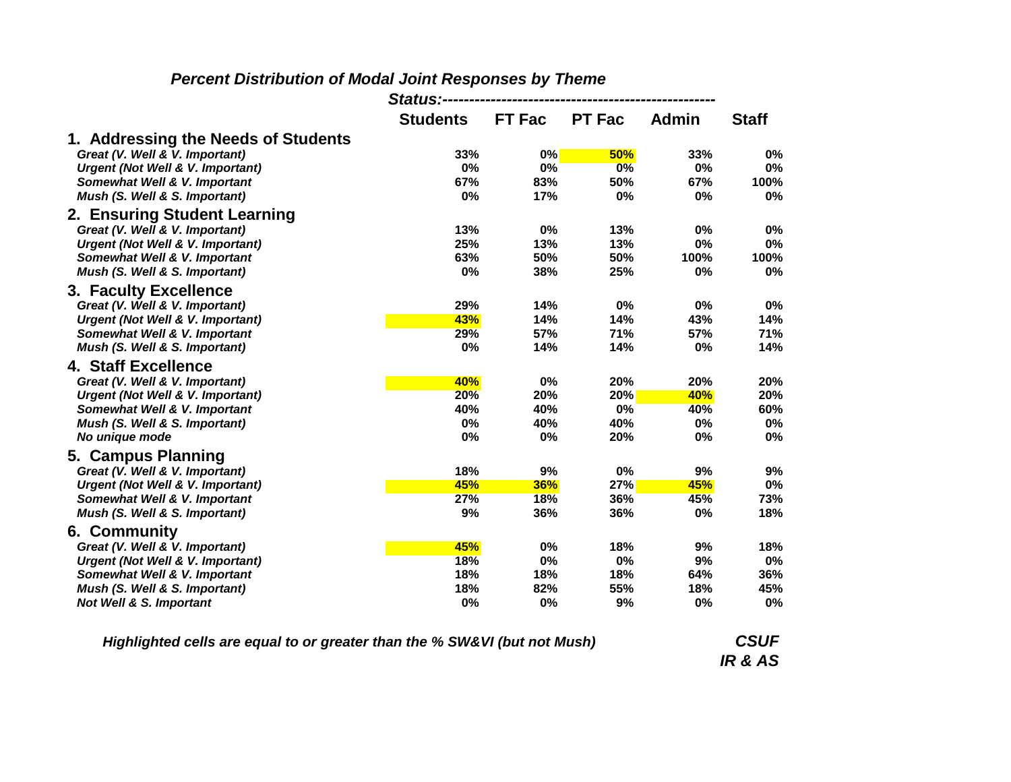|                                             | Status:-----    |               |               |              |              |
|---------------------------------------------|-----------------|---------------|---------------|--------------|--------------|
|                                             | <b>Students</b> | <b>FT Fac</b> | <b>PT Fac</b> | <b>Admin</b> | <b>Staff</b> |
| 1. Addressing the Needs of Students         |                 |               |               |              |              |
| Great (V. Well & V. Important)              | 33%             | $0\%$         | 50%           | 33%          | 0%           |
| <b>Urgent (Not Well &amp; V. Important)</b> | 0%              | 0%            | 0%            | 0%           | 0%           |
| Somewhat Well & V. Important                | 67%             | 83%           | 50%           | 67%          | 100%         |
| Mush (S. Well & S. Important)               | 0%              | 17%           | 0%            | 0%           | 0%           |
| 2. Ensuring Student Learning                |                 |               |               |              |              |
| Great (V. Well & V. Important)              | 13%             | 0%            | 13%           | 0%           | 0%           |
| <b>Urgent (Not Well &amp; V. Important)</b> | 25%             | 13%           | 13%           | 0%           | 0%           |
| Somewhat Well & V. Important                | 63%             | 50%           | 50%           | 100%         | 100%         |
| Mush (S. Well & S. Important)               | 0%              | 38%           | 25%           | 0%           | 0%           |
| 3. Faculty Excellence                       |                 |               |               |              |              |
| Great (V. Well & V. Important)              | 29%             | 14%           | 0%            | 0%           | 0%           |
| <b>Urgent (Not Well &amp; V. Important)</b> | 43%             | 14%           | 14%           | 43%          | 14%          |
| Somewhat Well & V. Important                | 29%             | 57%           | 71%           | 57%          | 71%          |
| Mush (S. Well & S. Important)               | 0%              | 14%           | 14%           | 0%           | 14%          |
| 4. Staff Excellence                         |                 |               |               |              |              |
| Great (V. Well & V. Important)              | 40%             | 0%            | 20%           | 20%          | 20%          |
| <b>Urgent (Not Well &amp; V. Important)</b> | <b>20%</b>      | 20%           | 20%           | 40%          | 20%          |
| Somewhat Well & V. Important                | 40%             | 40%           | 0%            | 40%          | 60%          |
| Mush (S. Well & S. Important)               | 0%              | 40%           | 40%           | 0%           | 0%           |
| No unique mode                              | 0%              | 0%            | 20%           | 0%           | 0%           |
| 5. Campus Planning                          |                 |               |               |              |              |
| Great (V. Well & V. Important)              | 18%             | 9%            | 0%            | 9%           | 9%           |
| Urgent (Not Well & V. Important)            | 45%             | 36%           | 27%           | 45%          | 0%           |
| Somewhat Well & V. Important                | 27%             | <b>18%</b>    | 36%           | 45%          | 73%          |
| Mush (S. Well & S. Important)               | 9%              | 36%           | 36%           | 0%           | 18%          |
| 6. Community                                |                 |               |               |              |              |
| Great (V. Well & V. Important)              | 45%             | 0%            | 18%           | 9%           | 18%          |
| Urgent (Not Well & V. Important)            | <b>18%</b>      | 0%            | 0%            | 9%           | 0%           |
| <b>Somewhat Well &amp; V. Important</b>     | 18%             | 18%           | 18%           | 64%          | 36%          |
| Mush (S. Well & S. Important)               | 18%             | 82%           | 55%           | 18%          | 45%          |
| <b>Not Well &amp; S. Important</b>          | 0%              | 0%            | 9%            | 0%           | 0%           |

## *Percent Distribution of Modal Joint Responses by Theme*

*Highlighted cells are equal to or greater than the % SW&VI (but not Mush)*

*CSUF IR & AS*